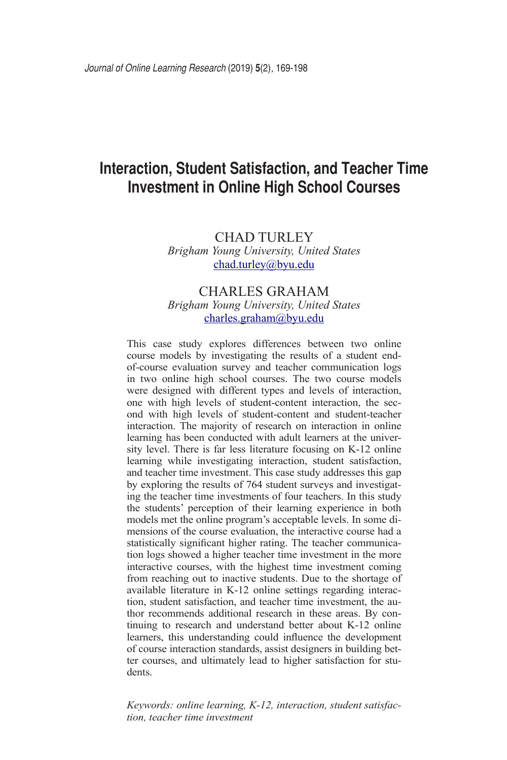# **Interaction, Student Satisfaction, and Teacher Time Investment in Online High School Courses**

# CHAD TURLEY *Brigham Young University, United States* chad.turley@byu.edu

# CHARLES GRAHAM *Brigham Young University, United States* charles.graham@byu.edu

This case study explores differences between two online course models by investigating the results of a student endof-course evaluation survey and teacher communication logs in two online high school courses. The two course models were designed with different types and levels of interaction, one with high levels of student-content interaction, the second with high levels of student-content and student-teacher interaction. The majority of research on interaction in online learning has been conducted with adult learners at the university level. There is far less literature focusing on K-12 online learning while investigating interaction, student satisfaction, and teacher time investment. This case study addresses this gap by exploring the results of 764 student surveys and investigating the teacher time investments of four teachers. In this study the students' perception of their learning experience in both models met the online program's acceptable levels. In some dimensions of the course evaluation, the interactive course had a statistically significant higher rating. The teacher communication logs showed a higher teacher time investment in the more interactive courses, with the highest time investment coming from reaching out to inactive students. Due to the shortage of available literature in K-12 online settings regarding interaction, student satisfaction, and teacher time investment, the author recommends additional research in these areas. By continuing to research and understand better about K-12 online learners, this understanding could influence the development of course interaction standards, assist designers in building better courses, and ultimately lead to higher satisfaction for students.

*Keywords: online learning, K-12, interaction, student satisfaction, teacher time investment*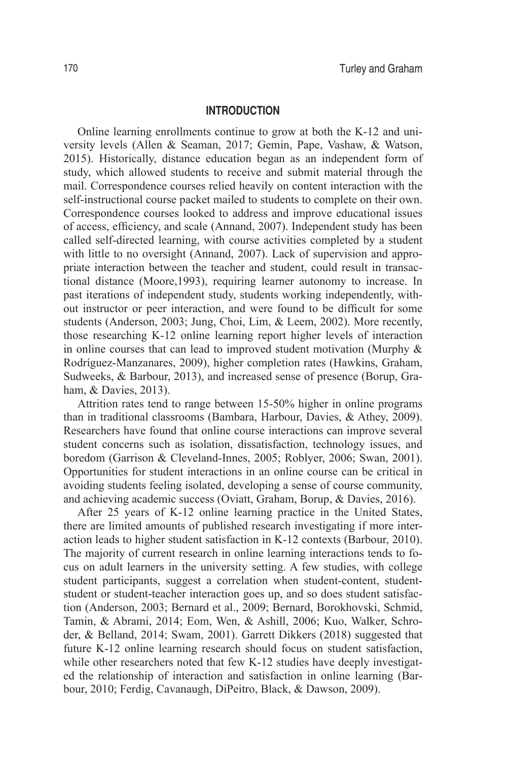#### **INTRODUCTION**

Online learning enrollments continue to grow at both the K-12 and university levels (Allen & Seaman, 2017; Gemin, Pape, Vashaw, & Watson, 2015). Historically, distance education began as an independent form of study, which allowed students to receive and submit material through the mail. Correspondence courses relied heavily on content interaction with the self-instructional course packet mailed to students to complete on their own. Correspondence courses looked to address and improve educational issues of access, efficiency, and scale (Annand, 2007). Independent study has been called self-directed learning, with course activities completed by a student with little to no oversight (Annand, 2007). Lack of supervision and appropriate interaction between the teacher and student, could result in transactional distance (Moore,1993), requiring learner autonomy to increase. In past iterations of independent study, students working independently, without instructor or peer interaction, and were found to be difficult for some students (Anderson, 2003; Jung, Choi, Lim, & Leem, 2002). More recently, those researching K-12 online learning report higher levels of interaction in online courses that can lead to improved student motivation (Murphy & Rodríguez-Manzanares, 2009), higher completion rates (Hawkins, Graham, Sudweeks, & Barbour, 2013), and increased sense of presence (Borup, Graham, & Davies, 2013).

Attrition rates tend to range between 15-50% higher in online programs than in traditional classrooms (Bambara, Harbour, Davies, & Athey, 2009). Researchers have found that online course interactions can improve several student concerns such as isolation, dissatisfaction, technology issues, and boredom (Garrison & Cleveland-Innes, 2005; Roblyer, 2006; Swan, 2001). Opportunities for student interactions in an online course can be critical in avoiding students feeling isolated, developing a sense of course community, and achieving academic success (Oviatt, Graham, Borup, & Davies, 2016).

After 25 years of K-12 online learning practice in the United States, there are limited amounts of published research investigating if more interaction leads to higher student satisfaction in K-12 contexts (Barbour, 2010). The majority of current research in online learning interactions tends to focus on adult learners in the university setting. A few studies, with college student participants, suggest a correlation when student-content, studentstudent or student-teacher interaction goes up, and so does student satisfaction (Anderson, 2003; Bernard et al., 2009; Bernard, Borokhovski, Schmid, Tamin, & Abrami, 2014; Eom, Wen, & Ashill, 2006; Kuo, Walker, Schroder, & Belland, 2014; Swam, 2001). Garrett Dikkers (2018) suggested that future K-12 online learning research should focus on student satisfaction, while other researchers noted that few K-12 studies have deeply investigated the relationship of interaction and satisfaction in online learning (Barbour, 2010; Ferdig, Cavanaugh, DiPeitro, Black, & Dawson, 2009).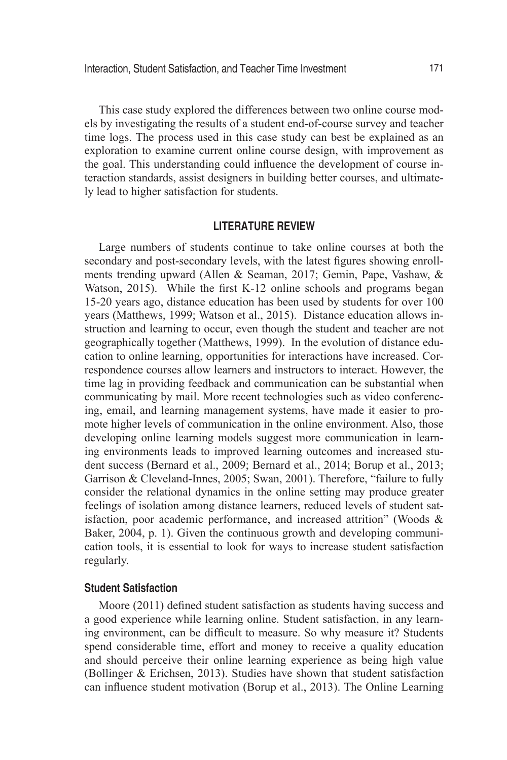This case study explored the differences between two online course models by investigating the results of a student end-of-course survey and teacher time logs. The process used in this case study can best be explained as an exploration to examine current online course design, with improvement as the goal. This understanding could influence the development of course interaction standards, assist designers in building better courses, and ultimately lead to higher satisfaction for students.

#### **LITERATURE REVIEW**

Large numbers of students continue to take online courses at both the secondary and post-secondary levels, with the latest figures showing enrollments trending upward (Allen & Seaman, 2017; Gemin, Pape, Vashaw, & Watson, 2015). While the first K-12 online schools and programs began 15-20 years ago, distance education has been used by students for over 100 years (Matthews, 1999; Watson et al., 2015). Distance education allows instruction and learning to occur, even though the student and teacher are not geographically together (Matthews, 1999). In the evolution of distance education to online learning, opportunities for interactions have increased. Correspondence courses allow learners and instructors to interact. However, the time lag in providing feedback and communication can be substantial when communicating by mail. More recent technologies such as video conferencing, email, and learning management systems, have made it easier to promote higher levels of communication in the online environment. Also, those developing online learning models suggest more communication in learning environments leads to improved learning outcomes and increased student success (Bernard et al., 2009; Bernard et al., 2014; Borup et al., 2013; Garrison & Cleveland-Innes, 2005; Swan, 2001). Therefore, "failure to fully consider the relational dynamics in the online setting may produce greater feelings of isolation among distance learners, reduced levels of student satisfaction, poor academic performance, and increased attrition" (Woods & Baker, 2004, p. 1). Given the continuous growth and developing communication tools, it is essential to look for ways to increase student satisfaction regularly.

## **Student Satisfaction**

Moore (2011) defined student satisfaction as students having success and a good experience while learning online. Student satisfaction, in any learning environment, can be difficult to measure. So why measure it? Students spend considerable time, effort and money to receive a quality education and should perceive their online learning experience as being high value (Bollinger & Erichsen, 2013). Studies have shown that student satisfaction can influence student motivation (Borup et al., 2013). The Online Learning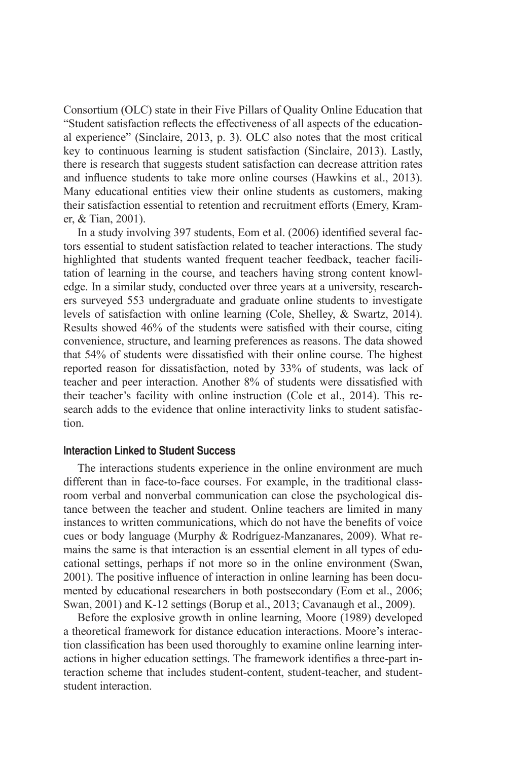Consortium (OLC) state in their Five Pillars of Quality Online Education that "Student satisfaction reflects the effectiveness of all aspects of the educational experience" (Sinclaire, 2013, p. 3). OLC also notes that the most critical key to continuous learning is student satisfaction (Sinclaire, 2013). Lastly, there is research that suggests student satisfaction can decrease attrition rates and influence students to take more online courses (Hawkins et al., 2013). Many educational entities view their online students as customers, making their satisfaction essential to retention and recruitment efforts (Emery, Kramer, & Tian, 2001).

In a study involving 397 students, Eom et al. (2006) identified several factors essential to student satisfaction related to teacher interactions. The study highlighted that students wanted frequent teacher feedback, teacher facilitation of learning in the course, and teachers having strong content knowledge. In a similar study, conducted over three years at a university, researchers surveyed 553 undergraduate and graduate online students to investigate levels of satisfaction with online learning (Cole, Shelley, & Swartz, 2014). Results showed 46% of the students were satisfied with their course, citing convenience, structure, and learning preferences as reasons. The data showed that 54% of students were dissatisfied with their online course. The highest reported reason for dissatisfaction, noted by 33% of students, was lack of teacher and peer interaction. Another 8% of students were dissatisfied with their teacher's facility with online instruction (Cole et al., 2014). This research adds to the evidence that online interactivity links to student satisfaction.

# **Interaction Linked to Student Success**

The interactions students experience in the online environment are much different than in face-to-face courses. For example, in the traditional classroom verbal and nonverbal communication can close the psychological distance between the teacher and student. Online teachers are limited in many instances to written communications, which do not have the benefits of voice cues or body language (Murphy & Rodríguez-Manzanares, 2009). What remains the same is that interaction is an essential element in all types of educational settings, perhaps if not more so in the online environment (Swan, 2001). The positive influence of interaction in online learning has been documented by educational researchers in both postsecondary (Eom et al., 2006; Swan, 2001) and K-12 settings (Borup et al., 2013; Cavanaugh et al., 2009).

Before the explosive growth in online learning, Moore (1989) developed a theoretical framework for distance education interactions. Moore's interaction classification has been used thoroughly to examine online learning interactions in higher education settings. The framework identifies a three-part interaction scheme that includes student-content, student-teacher, and studentstudent interaction.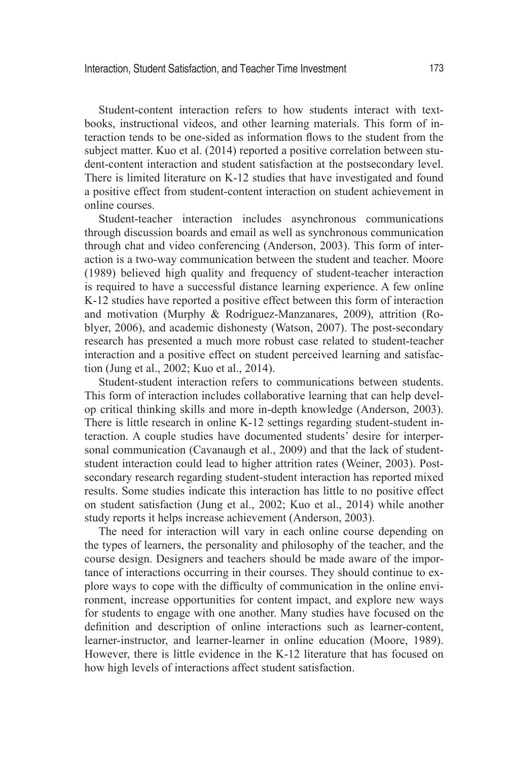Student-content interaction refers to how students interact with textbooks, instructional videos, and other learning materials. This form of interaction tends to be one-sided as information flows to the student from the subject matter. Kuo et al. (2014) reported a positive correlation between student-content interaction and student satisfaction at the postsecondary level. There is limited literature on K-12 studies that have investigated and found a positive effect from student-content interaction on student achievement in online courses.

Student-teacher interaction includes asynchronous communications through discussion boards and email as well as synchronous communication through chat and video conferencing (Anderson, 2003). This form of interaction is a two-way communication between the student and teacher. Moore (1989) believed high quality and frequency of student-teacher interaction is required to have a successful distance learning experience. A few online K-12 studies have reported a positive effect between this form of interaction and motivation (Murphy & Rodríguez-Manzanares, 2009), attrition (Roblyer, 2006), and academic dishonesty (Watson, 2007). The post-secondary research has presented a much more robust case related to student-teacher interaction and a positive effect on student perceived learning and satisfaction (Jung et al., 2002; Kuo et al., 2014).

Student-student interaction refers to communications between students. This form of interaction includes collaborative learning that can help develop critical thinking skills and more in-depth knowledge (Anderson, 2003). There is little research in online K-12 settings regarding student-student interaction. A couple studies have documented students' desire for interpersonal communication (Cavanaugh et al., 2009) and that the lack of studentstudent interaction could lead to higher attrition rates (Weiner, 2003). Postsecondary research regarding student-student interaction has reported mixed results. Some studies indicate this interaction has little to no positive effect on student satisfaction (Jung et al., 2002; Kuo et al., 2014) while another study reports it helps increase achievement (Anderson, 2003).

The need for interaction will vary in each online course depending on the types of learners, the personality and philosophy of the teacher, and the course design. Designers and teachers should be made aware of the importance of interactions occurring in their courses. They should continue to explore ways to cope with the difficulty of communication in the online environment, increase opportunities for content impact, and explore new ways for students to engage with one another. Many studies have focused on the definition and description of online interactions such as learner-content, learner-instructor, and learner-learner in online education (Moore, 1989). However, there is little evidence in the K-12 literature that has focused on how high levels of interactions affect student satisfaction.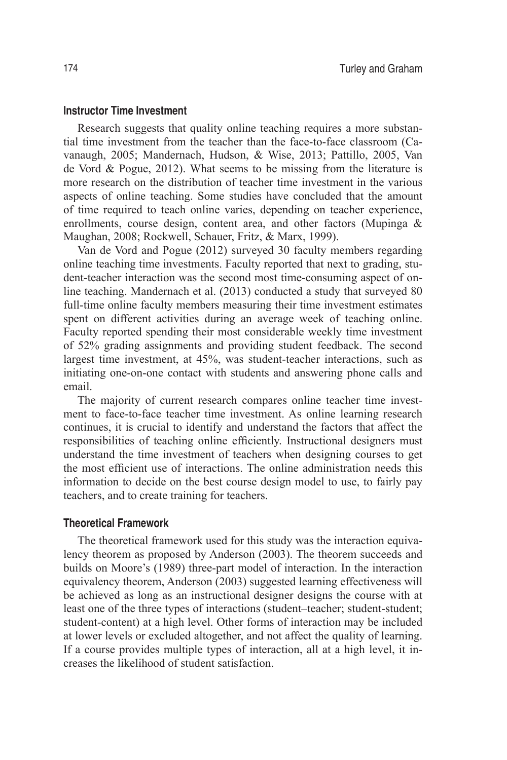#### **Instructor Time Investment**

Research suggests that quality online teaching requires a more substantial time investment from the teacher than the face-to-face classroom (Cavanaugh, 2005; Mandernach, Hudson, & Wise, 2013; Pattillo, 2005, Van de Vord & Pogue, 2012). What seems to be missing from the literature is more research on the distribution of teacher time investment in the various aspects of online teaching. Some studies have concluded that the amount of time required to teach online varies, depending on teacher experience, enrollments, course design, content area, and other factors (Mupinga & Maughan, 2008; Rockwell, Schauer, Fritz, & Marx, 1999).

Van de Vord and Pogue (2012) surveyed 30 faculty members regarding online teaching time investments. Faculty reported that next to grading, student-teacher interaction was the second most time-consuming aspect of online teaching. Mandernach et al. (2013) conducted a study that surveyed 80 full-time online faculty members measuring their time investment estimates spent on different activities during an average week of teaching online. Faculty reported spending their most considerable weekly time investment of 52% grading assignments and providing student feedback. The second largest time investment, at 45%, was student-teacher interactions, such as initiating one-on-one contact with students and answering phone calls and email.

The majority of current research compares online teacher time investment to face-to-face teacher time investment. As online learning research continues, it is crucial to identify and understand the factors that affect the responsibilities of teaching online efficiently. Instructional designers must understand the time investment of teachers when designing courses to get the most efficient use of interactions. The online administration needs this information to decide on the best course design model to use, to fairly pay teachers, and to create training for teachers.

# **Theoretical Framework**

The theoretical framework used for this study was the interaction equivalency theorem as proposed by Anderson (2003). The theorem succeeds and builds on Moore's (1989) three-part model of interaction. In the interaction equivalency theorem, Anderson (2003) suggested learning effectiveness will be achieved as long as an instructional designer designs the course with at least one of the three types of interactions (student–teacher; student-student; student-content) at a high level. Other forms of interaction may be included at lower levels or excluded altogether, and not affect the quality of learning. If a course provides multiple types of interaction, all at a high level, it increases the likelihood of student satisfaction.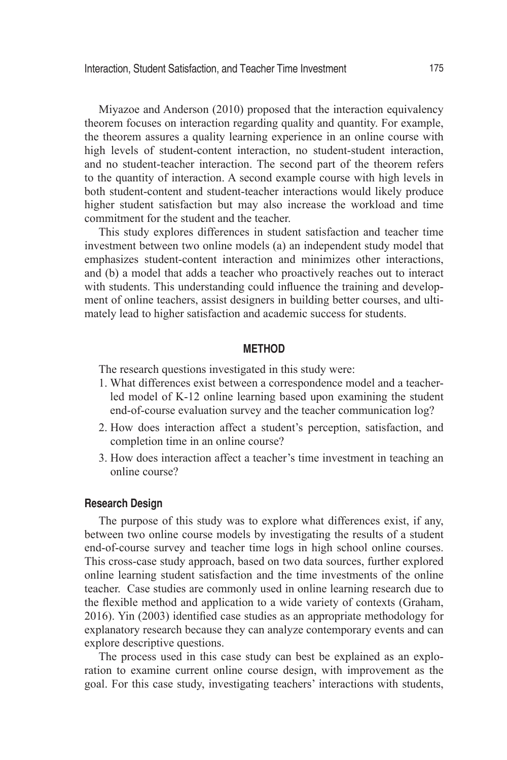Miyazoe and Anderson (2010) proposed that the interaction equivalency theorem focuses on interaction regarding quality and quantity. For example, the theorem assures a quality learning experience in an online course with high levels of student-content interaction, no student-student interaction, and no student-teacher interaction. The second part of the theorem refers to the quantity of interaction. A second example course with high levels in both student-content and student-teacher interactions would likely produce higher student satisfaction but may also increase the workload and time commitment for the student and the teacher.

This study explores differences in student satisfaction and teacher time investment between two online models (a) an independent study model that emphasizes student-content interaction and minimizes other interactions, and (b) a model that adds a teacher who proactively reaches out to interact with students. This understanding could influence the training and development of online teachers, assist designers in building better courses, and ultimately lead to higher satisfaction and academic success for students.

# **METHOD**

The research questions investigated in this study were:

- 1. What differences exist between a correspondence model and a teacherled model of K-12 online learning based upon examining the student end-of-course evaluation survey and the teacher communication log?
- 2. How does interaction affect a student's perception, satisfaction, and completion time in an online course?
- 3. How does interaction affect a teacher's time investment in teaching an online course?

#### **Research Design**

The purpose of this study was to explore what differences exist, if any, between two online course models by investigating the results of a student end-of-course survey and teacher time logs in high school online courses. This cross-case study approach, based on two data sources, further explored online learning student satisfaction and the time investments of the online teacher. Case studies are commonly used in online learning research due to the flexible method and application to a wide variety of contexts (Graham, 2016). Yin (2003) identified case studies as an appropriate methodology for explanatory research because they can analyze contemporary events and can explore descriptive questions.

The process used in this case study can best be explained as an exploration to examine current online course design, with improvement as the goal. For this case study, investigating teachers' interactions with students,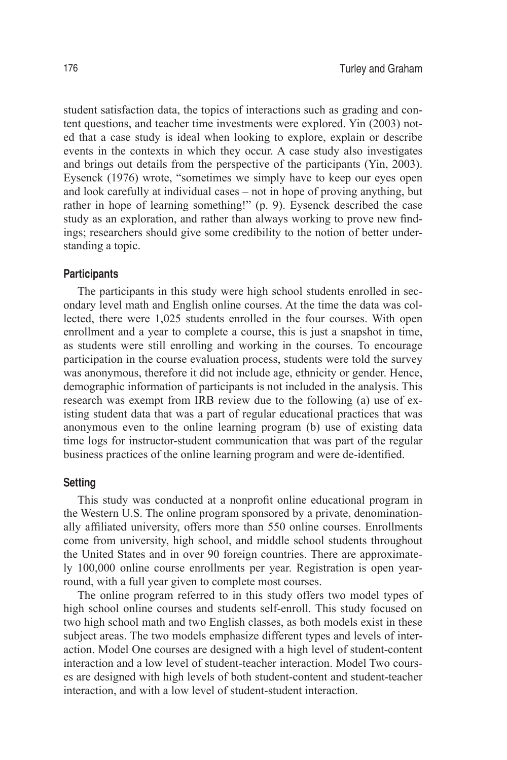student satisfaction data, the topics of interactions such as grading and content questions, and teacher time investments were explored. Yin (2003) noted that a case study is ideal when looking to explore, explain or describe events in the contexts in which they occur. A case study also investigates and brings out details from the perspective of the participants (Yin, 2003). Eysenck (1976) wrote, "sometimes we simply have to keep our eyes open and look carefully at individual cases – not in hope of proving anything, but rather in hope of learning something!" (p. 9). Eysenck described the case study as an exploration, and rather than always working to prove new findings; researchers should give some credibility to the notion of better understanding a topic.

#### **Participants**

The participants in this study were high school students enrolled in secondary level math and English online courses. At the time the data was collected, there were 1,025 students enrolled in the four courses. With open enrollment and a year to complete a course, this is just a snapshot in time, as students were still enrolling and working in the courses. To encourage participation in the course evaluation process, students were told the survey was anonymous, therefore it did not include age, ethnicity or gender. Hence, demographic information of participants is not included in the analysis. This research was exempt from IRB review due to the following (a) use of existing student data that was a part of regular educational practices that was anonymous even to the online learning program (b) use of existing data time logs for instructor-student communication that was part of the regular business practices of the online learning program and were de-identified.

#### **Setting**

This study was conducted at a nonprofit online educational program in the Western U.S. The online program sponsored by a private, denominationally affiliated university, offers more than 550 online courses. Enrollments come from university, high school, and middle school students throughout the United States and in over 90 foreign countries. There are approximately 100,000 online course enrollments per year. Registration is open yearround, with a full year given to complete most courses.

The online program referred to in this study offers two model types of high school online courses and students self-enroll. This study focused on two high school math and two English classes, as both models exist in these subject areas. The two models emphasize different types and levels of interaction. Model One courses are designed with a high level of student-content interaction and a low level of student-teacher interaction. Model Two courses are designed with high levels of both student-content and student-teacher interaction, and with a low level of student-student interaction.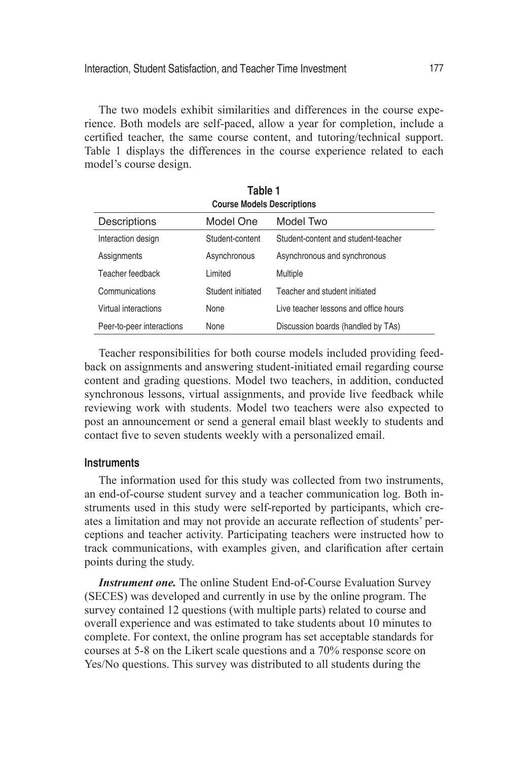The two models exhibit similarities and differences in the course experience. Both models are self-paced, allow a year for completion, include a certified teacher, the same course content, and tutoring/technical support. Table 1 displays the differences in the course experience related to each model's course design.

**Table 1**

| <b>Course Models Descriptions</b> |                   |                                       |  |  |  |  |  |
|-----------------------------------|-------------------|---------------------------------------|--|--|--|--|--|
| Descriptions                      | Model One         | Model Two                             |  |  |  |  |  |
| Interaction design                | Student-content   | Student-content and student-teacher   |  |  |  |  |  |
| Assignments                       | Asynchronous      | Asynchronous and synchronous          |  |  |  |  |  |
| Teacher feedback                  | Limited           | Multiple                              |  |  |  |  |  |
| Communications                    | Student initiated | Teacher and student initiated         |  |  |  |  |  |
| Virtual interactions              | None              | Live teacher lessons and office hours |  |  |  |  |  |
| Peer-to-peer interactions         | None              | Discussion boards (handled by TAs)    |  |  |  |  |  |

Teacher responsibilities for both course models included providing feedback on assignments and answering student-initiated email regarding course content and grading questions. Model two teachers, in addition, conducted synchronous lessons, virtual assignments, and provide live feedback while reviewing work with students. Model two teachers were also expected to post an announcement or send a general email blast weekly to students and contact five to seven students weekly with a personalized email.

#### **Instruments**

The information used for this study was collected from two instruments, an end-of-course student survey and a teacher communication log. Both instruments used in this study were self-reported by participants, which creates a limitation and may not provide an accurate reflection of students' perceptions and teacher activity. Participating teachers were instructed how to track communications, with examples given, and clarification after certain points during the study.

**Instrument one.** The online Student End-of-Course Evaluation Survey (SECES) was developed and currently in use by the online program. The survey contained 12 questions (with multiple parts) related to course and overall experience and was estimated to take students about 10 minutes to complete. For context, the online program has set acceptable standards for courses at 5-8 on the Likert scale questions and a 70% response score on Yes/No questions. This survey was distributed to all students during the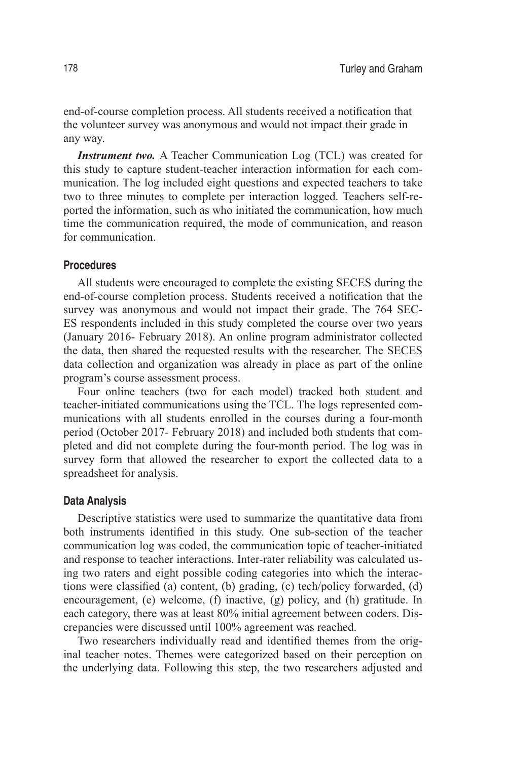end-of-course completion process. All students received a notification that the volunteer survey was anonymous and would not impact their grade in any way.

*Instrument two.* A Teacher Communication Log (TCL) was created for this study to capture student-teacher interaction information for each communication. The log included eight questions and expected teachers to take two to three minutes to complete per interaction logged. Teachers self-reported the information, such as who initiated the communication, how much time the communication required, the mode of communication, and reason for communication.

## **Procedures**

All students were encouraged to complete the existing SECES during the end-of-course completion process. Students received a notification that the survey was anonymous and would not impact their grade. The 764 SEC-ES respondents included in this study completed the course over two years (January 2016- February 2018). An online program administrator collected the data, then shared the requested results with the researcher. The SECES data collection and organization was already in place as part of the online program's course assessment process.

Four online teachers (two for each model) tracked both student and teacher-initiated communications using the TCL. The logs represented communications with all students enrolled in the courses during a four-month period (October 2017- February 2018) and included both students that completed and did not complete during the four-month period. The log was in survey form that allowed the researcher to export the collected data to a spreadsheet for analysis.

#### **Data Analysis**

Descriptive statistics were used to summarize the quantitative data from both instruments identified in this study. One sub-section of the teacher communication log was coded, the communication topic of teacher-initiated and response to teacher interactions. Inter-rater reliability was calculated using two raters and eight possible coding categories into which the interactions were classified (a) content, (b) grading, (c) tech/policy forwarded, (d) encouragement, (e) welcome, (f) inactive, (g) policy, and (h) gratitude. In each category, there was at least 80% initial agreement between coders. Discrepancies were discussed until 100% agreement was reached.

Two researchers individually read and identified themes from the original teacher notes. Themes were categorized based on their perception on the underlying data. Following this step, the two researchers adjusted and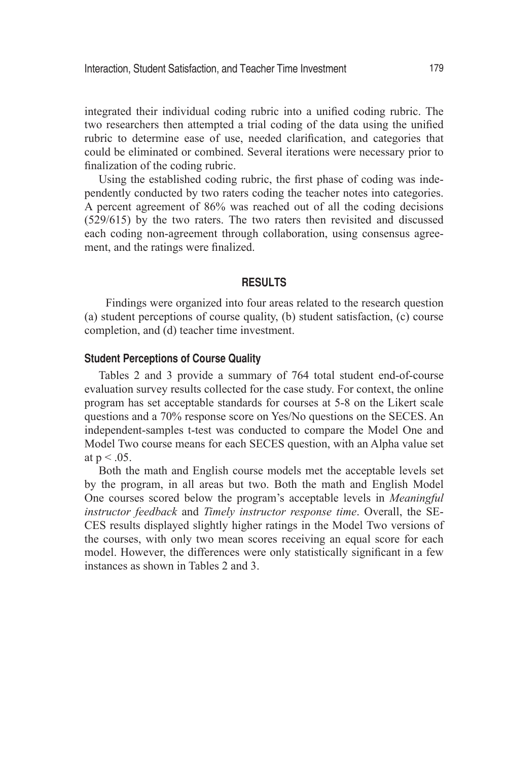integrated their individual coding rubric into a unified coding rubric. The two researchers then attempted a trial coding of the data using the unified rubric to determine ease of use, needed clarification, and categories that could be eliminated or combined. Several iterations were necessary prior to finalization of the coding rubric.

Using the established coding rubric, the first phase of coding was independently conducted by two raters coding the teacher notes into categories. A percent agreement of 86% was reached out of all the coding decisions (529/615) by the two raters. The two raters then revisited and discussed each coding non-agreement through collaboration, using consensus agreement, and the ratings were finalized.

#### **RESULTS**

Findings were organized into four areas related to the research question (a) student perceptions of course quality, (b) student satisfaction, (c) course completion, and (d) teacher time investment.

#### **Student Perceptions of Course Quality**

Tables 2 and 3 provide a summary of 764 total student end-of-course evaluation survey results collected for the case study. For context, the online program has set acceptable standards for courses at 5-8 on the Likert scale questions and a 70% response score on Yes/No questions on the SECES. An independent-samples t-test was conducted to compare the Model One and Model Two course means for each SECES question, with an Alpha value set at  $p < 0.05$ .

Both the math and English course models met the acceptable levels set by the program, in all areas but two. Both the math and English Model One courses scored below the program's acceptable levels in *Meaningful instructor feedback* and *Timely instructor response time*. Overall, the SE-CES results displayed slightly higher ratings in the Model Two versions of the courses, with only two mean scores receiving an equal score for each model. However, the differences were only statistically significant in a few instances as shown in Tables 2 and 3.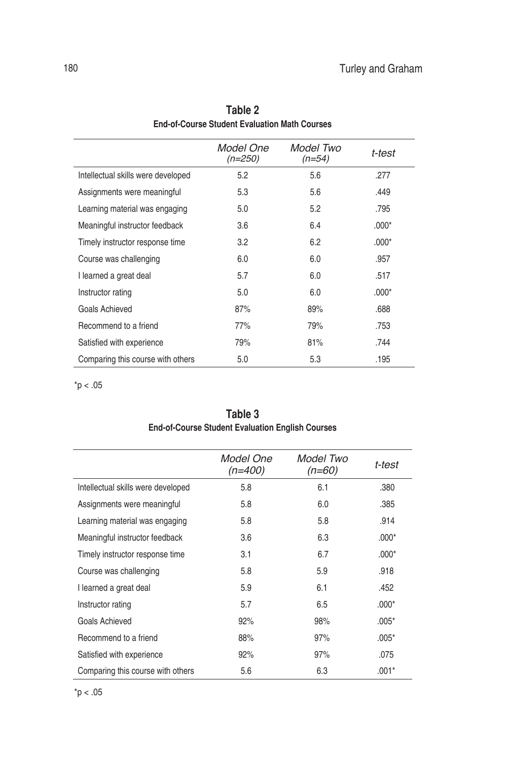|                                    | Model One<br>$(n=250)$ | Model Two<br>$(n=54)$ | t-test  |
|------------------------------------|------------------------|-----------------------|---------|
| Intellectual skills were developed | 5.2                    | 5.6                   | .277    |
| Assignments were meaningful        | 5.3                    | 5.6                   | .449    |
| Learning material was engaging     | 5.0                    | 5.2                   | .795    |
| Meaningful instructor feedback     | 3.6                    | 6.4                   | $.000*$ |
| Timely instructor response time    | 3.2                    | 6.2                   | $.000*$ |
| Course was challenging             | 6.0                    | 6.0                   | .957    |
| I learned a great deal             | 5.7                    | 6.0                   | .517    |
| Instructor rating                  | 5.0                    | 6.0                   | $.000*$ |
| Goals Achieved                     | 87%                    | 89%                   | .688    |
| Recommend to a friend              | 77%                    | 79%                   | .753    |
| Satisfied with experience          | 79%                    | 81%                   | .744    |
| Comparing this course with others  | 5.0                    | 5.3                   | .195    |

| Table 2                                       |
|-----------------------------------------------|
| End-of-Course Student Evaluation Math Courses |

 $*$ p < .05

| Table 3                                                 |  |
|---------------------------------------------------------|--|
| <b>End-of-Course Student Evaluation English Courses</b> |  |

|                                    | Model One<br>$(n=400)$ | Model Two<br>$(n=60)$ | t-test  |
|------------------------------------|------------------------|-----------------------|---------|
| Intellectual skills were developed | 5.8                    | 6.1                   | .380    |
| Assignments were meaningful        | 5.8                    | 6.0                   | .385    |
| Learning material was engaging     | 5.8                    | 5.8                   | .914    |
| Meaningful instructor feedback     | 3.6                    | 6.3                   | $.000*$ |
| Timely instructor response time    | 3.1                    | 6.7                   | $.000*$ |
| Course was challenging             | 5.8                    | 5.9                   | .918    |
| I learned a great deal             | 5.9                    | 6.1                   | .452    |
| Instructor rating                  | 5.7                    | 6.5                   | $.000*$ |
| Goals Achieved                     | 92%                    | 98%                   | $.005*$ |
| Recommend to a friend              | 88%                    | 97%                   | $.005*$ |
| Satisfied with experience          | 92%                    | 97%                   | .075    |
| Comparing this course with others  | 5.6                    | 6.3                   | $.001*$ |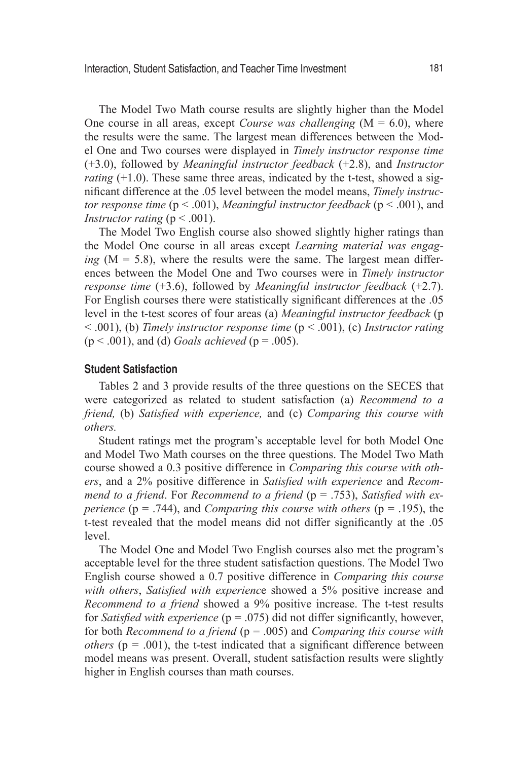The Model Two Math course results are slightly higher than the Model One course in all areas, except *Course was challenging*  $(M = 6.0)$ , where the results were the same. The largest mean differences between the Model One and Two courses were displayed in *Timely instructor response time*  (+3.0), followed by *Meaningful instructor feedback* (+2.8), and *Instructor rating*  $(+1.0)$ . These same three areas, indicated by the t-test, showed a significant difference at the .05 level between the model means, *Timely instructor response time* (p < .001), *Meaningful instructor feedback* (p < .001), and *Instructor rating* ( $p < .001$ ).

The Model Two English course also showed slightly higher ratings than the Model One course in all areas except *Learning material was engaging*  $(M = 5.8)$ , where the results were the same. The largest mean differences between the Model One and Two courses were in *Timely instructor response time* (+3.6), followed by *Meaningful instructor feedback* (+2.7). For English courses there were statistically significant differences at the .05 level in the t-test scores of four areas (a) *Meaningful instructor feedback* (p < .001), (b) *Timely instructor response time* (p < .001), (c) *Instructor rating*   $(p < .001)$ , and (d) *Goals achieved*  $(p = .005)$ .

## **Student Satisfaction**

Tables 2 and 3 provide results of the three questions on the SECES that were categorized as related to student satisfaction (a) *Recommend to a friend,* (b) *Satisfied with experience,* and (c) *Comparing this course with others.* 

Student ratings met the program's acceptable level for both Model One and Model Two Math courses on the three questions. The Model Two Math course showed a 0.3 positive difference in *Comparing this course with others*, and a 2% positive difference in *Satisfied with experience* and *Recommend to a friend*. For *Recommend to a friend* (p = .753), *Satisfied with experience* ( $p = .744$ ), and *Comparing this course with others* ( $p = .195$ ), the t-test revealed that the model means did not differ significantly at the .05 level.

The Model One and Model Two English courses also met the program's acceptable level for the three student satisfaction questions. The Model Two English course showed a 0.7 positive difference in *Comparing this course with others*, *Satisfied with experienc*e showed a 5% positive increase and *Recommend to a friend* showed a 9% positive increase. The t-test results for *Satisfied with experience* (p = .075) did not differ significantly, however, for both *Recommend to a friend* (p = .005) and *Comparing this course with others* ( $p = .001$ ), the t-test indicated that a significant difference between model means was present. Overall, student satisfaction results were slightly higher in English courses than math courses.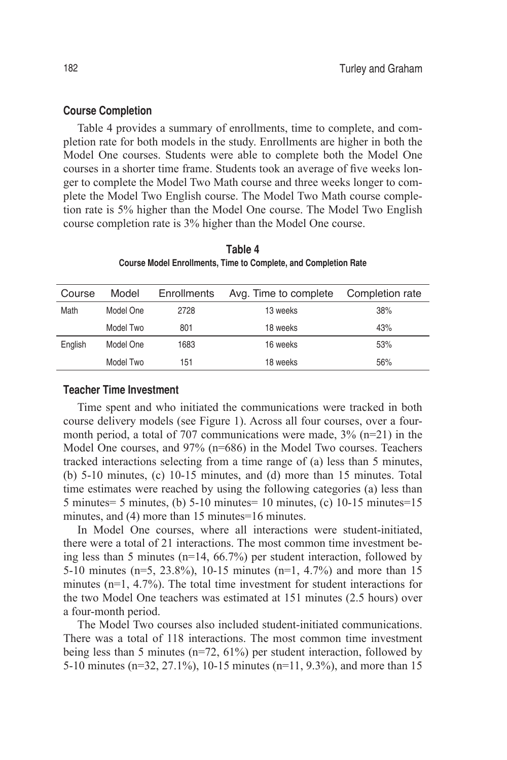## **Course Completion**

Table 4 provides a summary of enrollments, time to complete, and completion rate for both models in the study. Enrollments are higher in both the Model One courses. Students were able to complete both the Model One courses in a shorter time frame. Students took an average of five weeks longer to complete the Model Two Math course and three weeks longer to complete the Model Two English course. The Model Two Math course completion rate is 5% higher than the Model One course. The Model Two English course completion rate is 3% higher than the Model One course.

| Course  | Model     | Enrollments | Avg. Time to complete | Completion rate |
|---------|-----------|-------------|-----------------------|-----------------|
| Math    | Model One | 2728        | 13 weeks              | 38%             |
|         | Model Two | 801         | 18 weeks              | 43%             |
| English | Model One | 1683        | 16 weeks              | 53%             |
|         | Model Two | 151         | 18 weeks              | 56%             |

**Table 4 Course Model Enrollments, Time to Complete, and Completion Rate**

# **Teacher Time Investment**

Time spent and who initiated the communications were tracked in both course delivery models (see Figure 1). Across all four courses, over a fourmonth period, a total of 707 communications were made,  $3\%$  (n=21) in the Model One courses, and 97% (n=686) in the Model Two courses. Teachers tracked interactions selecting from a time range of (a) less than 5 minutes, (b) 5-10 minutes, (c) 10-15 minutes, and (d) more than 15 minutes. Total time estimates were reached by using the following categories (a) less than 5 minutes= 5 minutes, (b) 5-10 minutes= 10 minutes, (c) 10-15 minutes=15 minutes, and (4) more than 15 minutes=16 minutes.

In Model One courses, where all interactions were student-initiated, there were a total of 21 interactions. The most common time investment being less than 5 minutes (n=14, 66.7%) per student interaction, followed by 5-10 minutes (n=5, 23.8%), 10-15 minutes (n=1, 4.7%) and more than 15 minutes (n=1, 4.7%). The total time investment for student interactions for the two Model One teachers was estimated at 151 minutes (2.5 hours) over a four-month period.

The Model Two courses also included student-initiated communications. There was a total of 118 interactions. The most common time investment being less than 5 minutes (n=72, 61%) per student interaction, followed by 5-10 minutes (n=32, 27.1%), 10-15 minutes (n=11, 9.3%), and more than 15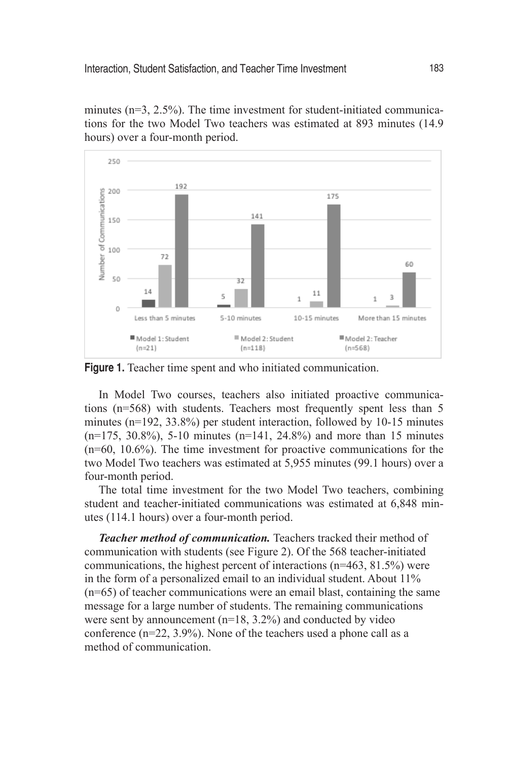minutes (n=3, 2.5%). The time investment for student-initiated communications for the two Model Two teachers was estimated at 893 minutes (14.9 hours) over a four-month period.



**Figure 1.** Teacher time spent and who initiated communication.

In Model Two courses, teachers also initiated proactive communications (n=568) with students. Teachers most frequently spent less than 5 minutes (n=192, 33.8%) per student interaction, followed by 10-15 minutes  $(n=175, 30.8\%)$ , 5-10 minutes  $(n=141, 24.8\%)$  and more than 15 minutes (n=60, 10.6%). The time investment for proactive communications for the two Model Two teachers was estimated at 5,955 minutes (99.1 hours) over a four-month period.

The total time investment for the two Model Two teachers, combining student and teacher-initiated communications was estimated at 6,848 minutes (114.1 hours) over a four-month period.

*Teacher method of communication.* Teachers tracked their method of communication with students (see Figure 2). Of the 568 teacher-initiated communications, the highest percent of interactions (n=463, 81.5%) were in the form of a personalized email to an individual student. About 11% (n=65) of teacher communications were an email blast, containing the same message for a large number of students. The remaining communications were sent by announcement (n=18, 3.2%) and conducted by video conference (n=22, 3.9%). None of the teachers used a phone call as a method of communication.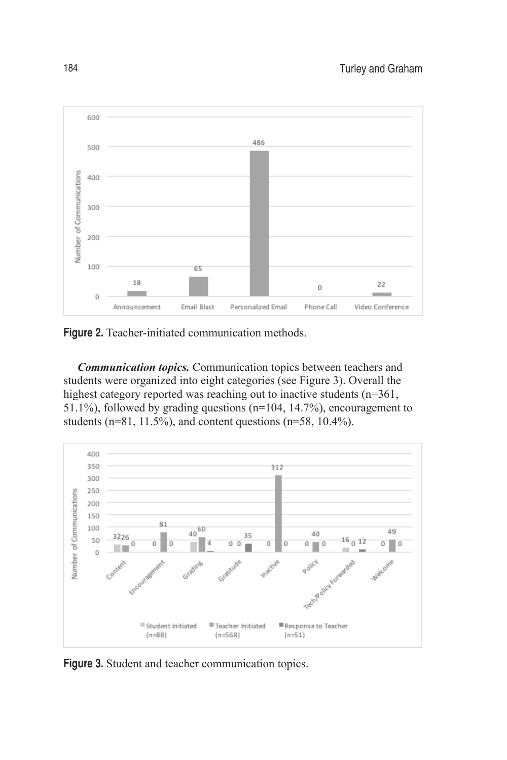

**Figure 2.** Teacher-initiated communication methods.

*Communication topics.* Communication topics between teachers and students were organized into eight categories (see Figure 3). Overall the highest category reported was reaching out to inactive students (n=361, 51.1%), followed by grading questions (n=104, 14.7%), encouragement to students ( $n=81$ , 11.5%), and content questions ( $n=58$ , 10.4%).



**Figure 3.** Student and teacher communication topics.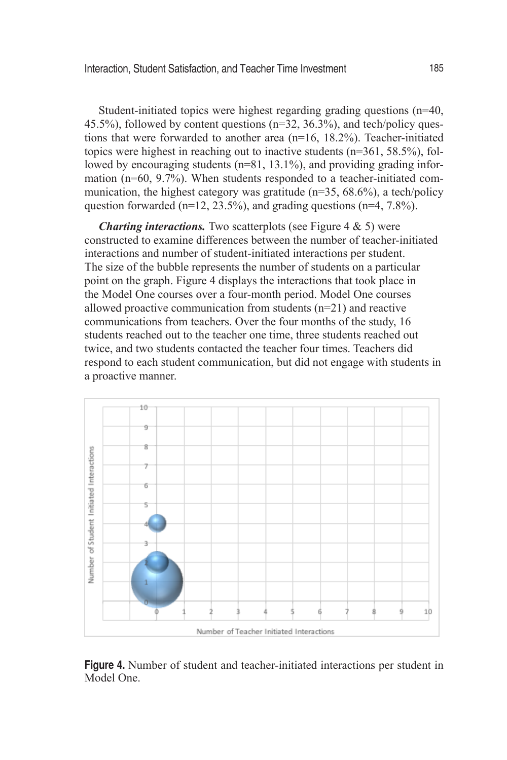Student-initiated topics were highest regarding grading questions (n=40, 45.5%), followed by content questions (n=32, 36.3%), and tech/policy questions that were forwarded to another area (n=16, 18.2%). Teacher-initiated topics were highest in reaching out to inactive students (n=361, 58.5%), followed by encouraging students (n=81, 13.1%), and providing grading information (n=60, 9.7%). When students responded to a teacher-initiated communication, the highest category was gratitude  $(n=35, 68.6\%)$ , a tech/policy question forwarded (n=12, 23.5%), and grading questions (n=4,  $7.8\%$ ).

*Charting interactions.* Two scatterplots (see Figure 4 & 5) were constructed to examine differences between the number of teacher-initiated interactions and number of student-initiated interactions per student. The size of the bubble represents the number of students on a particular point on the graph. Figure 4 displays the interactions that took place in the Model One courses over a four-month period. Model One courses allowed proactive communication from students (n=21) and reactive communications from teachers. Over the four months of the study, 16 students reached out to the teacher one time, three students reached out twice, and two students contacted the teacher four times. Teachers did respond to each student communication, but did not engage with students in a proactive manner.



**Figure 4.** Number of student and teacher-initiated interactions per student in Model One.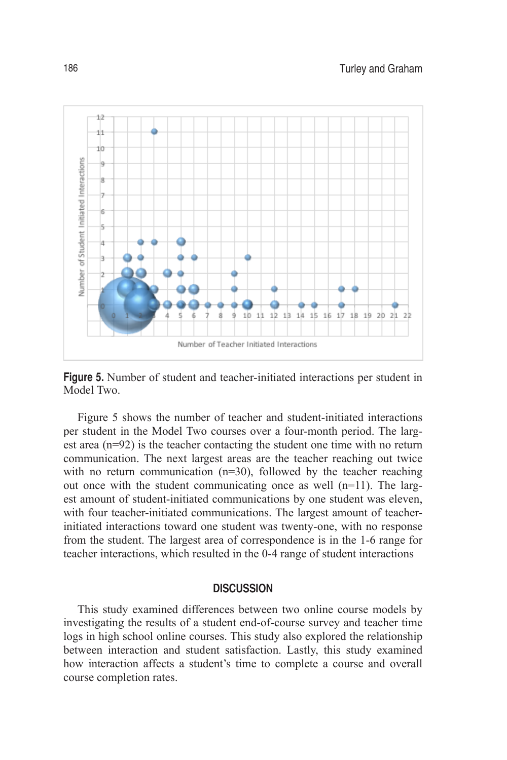

**Figure 5.** Number of student and teacher-initiated interactions per student in Model Two.

Figure 5 shows the number of teacher and student-initiated interactions per student in the Model Two courses over a four-month period. The largest area (n=92) is the teacher contacting the student one time with no return communication. The next largest areas are the teacher reaching out twice with no return communication (n=30), followed by the teacher reaching out once with the student communicating once as well (n=11). The largest amount of student-initiated communications by one student was eleven, with four teacher-initiated communications. The largest amount of teacherinitiated interactions toward one student was twenty-one, with no response from the student. The largest area of correspondence is in the 1-6 range for teacher interactions, which resulted in the 0-4 range of student interactions

#### **DISCUSSION**

This study examined differences between two online course models by investigating the results of a student end-of-course survey and teacher time logs in high school online courses. This study also explored the relationship between interaction and student satisfaction. Lastly, this study examined how interaction affects a student's time to complete a course and overall course completion rates.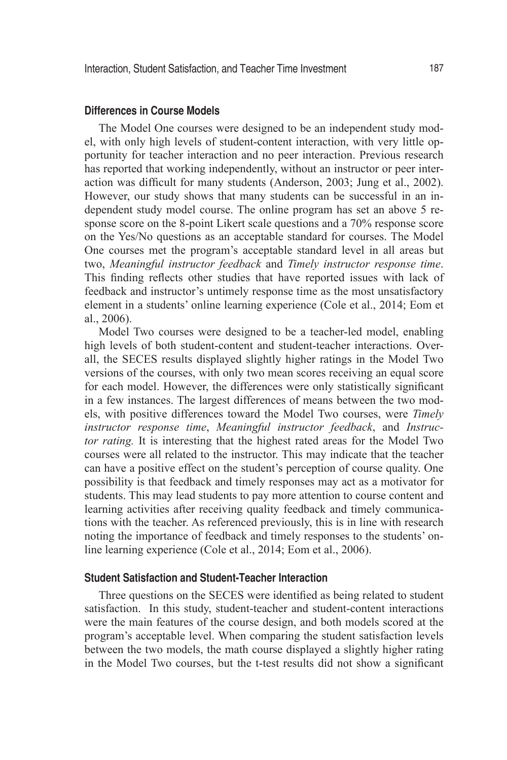# **Differences in Course Models**

The Model One courses were designed to be an independent study model, with only high levels of student-content interaction, with very little opportunity for teacher interaction and no peer interaction. Previous research has reported that working independently, without an instructor or peer interaction was difficult for many students (Anderson, 2003; Jung et al., 2002). However, our study shows that many students can be successful in an independent study model course. The online program has set an above 5 response score on the 8-point Likert scale questions and a 70% response score on the Yes/No questions as an acceptable standard for courses. The Model One courses met the program's acceptable standard level in all areas but two, *Meaningful instructor feedback* and *Timely instructor response time*. This finding reflects other studies that have reported issues with lack of feedback and instructor's untimely response time as the most unsatisfactory element in a students' online learning experience (Cole et al., 2014; Eom et al., 2006).

Model Two courses were designed to be a teacher-led model, enabling high levels of both student-content and student-teacher interactions. Overall, the SECES results displayed slightly higher ratings in the Model Two versions of the courses, with only two mean scores receiving an equal score for each model. However, the differences were only statistically significant in a few instances. The largest differences of means between the two models, with positive differences toward the Model Two courses, were *Timely instructor response time*, *Meaningful instructor feedback*, and *Instructor rating.* It is interesting that the highest rated areas for the Model Two courses were all related to the instructor. This may indicate that the teacher can have a positive effect on the student's perception of course quality. One possibility is that feedback and timely responses may act as a motivator for students. This may lead students to pay more attention to course content and learning activities after receiving quality feedback and timely communications with the teacher. As referenced previously, this is in line with research noting the importance of feedback and timely responses to the students' online learning experience (Cole et al., 2014; Eom et al., 2006).

# **Student Satisfaction and Student-Teacher Interaction**

Three questions on the SECES were identified as being related to student satisfaction. In this study, student-teacher and student-content interactions were the main features of the course design, and both models scored at the program's acceptable level. When comparing the student satisfaction levels between the two models, the math course displayed a slightly higher rating in the Model Two courses, but the t-test results did not show a significant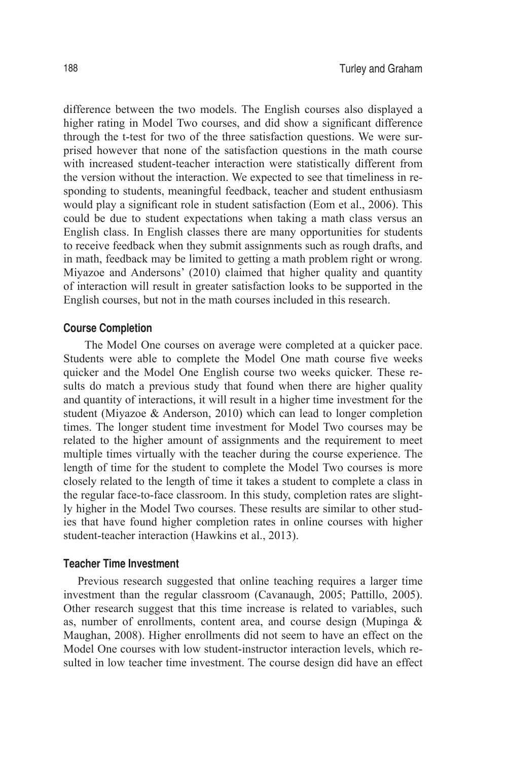difference between the two models. The English courses also displayed a higher rating in Model Two courses, and did show a significant difference through the t-test for two of the three satisfaction questions. We were surprised however that none of the satisfaction questions in the math course with increased student-teacher interaction were statistically different from the version without the interaction. We expected to see that timeliness in responding to students, meaningful feedback, teacher and student enthusiasm would play a significant role in student satisfaction (Eom et al., 2006). This could be due to student expectations when taking a math class versus an English class. In English classes there are many opportunities for students to receive feedback when they submit assignments such as rough drafts, and in math, feedback may be limited to getting a math problem right or wrong. Miyazoe and Andersons' (2010) claimed that higher quality and quantity of interaction will result in greater satisfaction looks to be supported in the English courses, but not in the math courses included in this research.

#### **Course Completion**

The Model One courses on average were completed at a quicker pace. Students were able to complete the Model One math course five weeks quicker and the Model One English course two weeks quicker. These results do match a previous study that found when there are higher quality and quantity of interactions, it will result in a higher time investment for the student (Miyazoe & Anderson, 2010) which can lead to longer completion times. The longer student time investment for Model Two courses may be related to the higher amount of assignments and the requirement to meet multiple times virtually with the teacher during the course experience. The length of time for the student to complete the Model Two courses is more closely related to the length of time it takes a student to complete a class in the regular face-to-face classroom. In this study, completion rates are slightly higher in the Model Two courses. These results are similar to other studies that have found higher completion rates in online courses with higher student-teacher interaction (Hawkins et al., 2013).

#### **Teacher Time Investment**

Previous research suggested that online teaching requires a larger time investment than the regular classroom (Cavanaugh, 2005; Pattillo, 2005). Other research suggest that this time increase is related to variables, such as, number of enrollments, content area, and course design (Mupinga & Maughan, 2008). Higher enrollments did not seem to have an effect on the Model One courses with low student-instructor interaction levels, which resulted in low teacher time investment. The course design did have an effect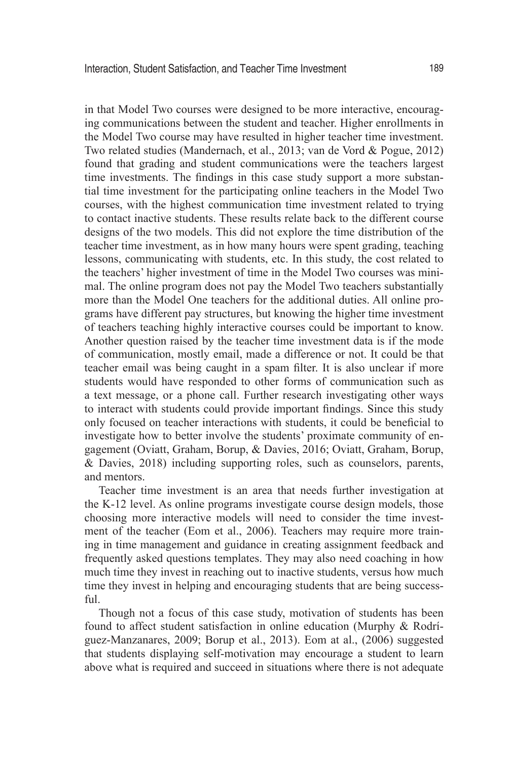in that Model Two courses were designed to be more interactive, encouraging communications between the student and teacher. Higher enrollments in the Model Two course may have resulted in higher teacher time investment. Two related studies (Mandernach, et al., 2013; van de Vord & Pogue, 2012) found that grading and student communications were the teachers largest time investments. The findings in this case study support a more substantial time investment for the participating online teachers in the Model Two courses, with the highest communication time investment related to trying to contact inactive students. These results relate back to the different course designs of the two models. This did not explore the time distribution of the teacher time investment, as in how many hours were spent grading, teaching lessons, communicating with students, etc. In this study, the cost related to the teachers' higher investment of time in the Model Two courses was minimal. The online program does not pay the Model Two teachers substantially more than the Model One teachers for the additional duties. All online programs have different pay structures, but knowing the higher time investment of teachers teaching highly interactive courses could be important to know. Another question raised by the teacher time investment data is if the mode of communication, mostly email, made a difference or not. It could be that teacher email was being caught in a spam filter. It is also unclear if more students would have responded to other forms of communication such as a text message, or a phone call. Further research investigating other ways to interact with students could provide important findings. Since this study only focused on teacher interactions with students, it could be beneficial to investigate how to better involve the students' proximate community of engagement (Oviatt, Graham, Borup, & Davies, 2016; Oviatt, Graham, Borup, & Davies, 2018) including supporting roles, such as counselors, parents, and mentors.

Teacher time investment is an area that needs further investigation at the K-12 level. As online programs investigate course design models, those choosing more interactive models will need to consider the time investment of the teacher (Eom et al., 2006). Teachers may require more training in time management and guidance in creating assignment feedback and frequently asked questions templates. They may also need coaching in how much time they invest in reaching out to inactive students, versus how much time they invest in helping and encouraging students that are being successful.

Though not a focus of this case study, motivation of students has been found to affect student satisfaction in online education (Murphy & Rodríguez-Manzanares, 2009; Borup et al., 2013). Eom at al., (2006) suggested that students displaying self-motivation may encourage a student to learn above what is required and succeed in situations where there is not adequate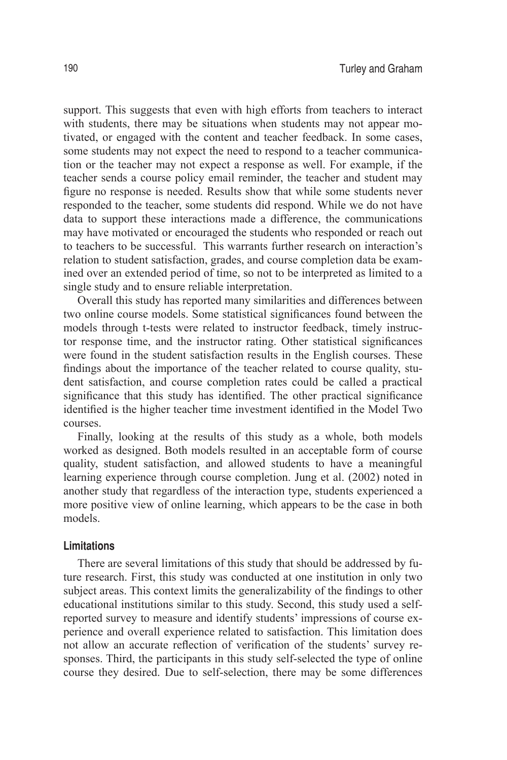support. This suggests that even with high efforts from teachers to interact with students, there may be situations when students may not appear motivated, or engaged with the content and teacher feedback. In some cases, some students may not expect the need to respond to a teacher communication or the teacher may not expect a response as well. For example, if the teacher sends a course policy email reminder, the teacher and student may figure no response is needed. Results show that while some students never responded to the teacher, some students did respond. While we do not have data to support these interactions made a difference, the communications may have motivated or encouraged the students who responded or reach out to teachers to be successful. This warrants further research on interaction's relation to student satisfaction, grades, and course completion data be examined over an extended period of time, so not to be interpreted as limited to a single study and to ensure reliable interpretation.

Overall this study has reported many similarities and differences between two online course models. Some statistical significances found between the models through t-tests were related to instructor feedback, timely instructor response time, and the instructor rating. Other statistical significances were found in the student satisfaction results in the English courses. These findings about the importance of the teacher related to course quality, student satisfaction, and course completion rates could be called a practical significance that this study has identified. The other practical significance identified is the higher teacher time investment identified in the Model Two courses.

Finally, looking at the results of this study as a whole, both models worked as designed. Both models resulted in an acceptable form of course quality, student satisfaction, and allowed students to have a meaningful learning experience through course completion. Jung et al. (2002) noted in another study that regardless of the interaction type, students experienced a more positive view of online learning, which appears to be the case in both models.

## **Limitations**

There are several limitations of this study that should be addressed by future research. First, this study was conducted at one institution in only two subject areas. This context limits the generalizability of the findings to other educational institutions similar to this study. Second, this study used a selfreported survey to measure and identify students' impressions of course experience and overall experience related to satisfaction. This limitation does not allow an accurate reflection of verification of the students' survey responses. Third, the participants in this study self-selected the type of online course they desired. Due to self-selection, there may be some differences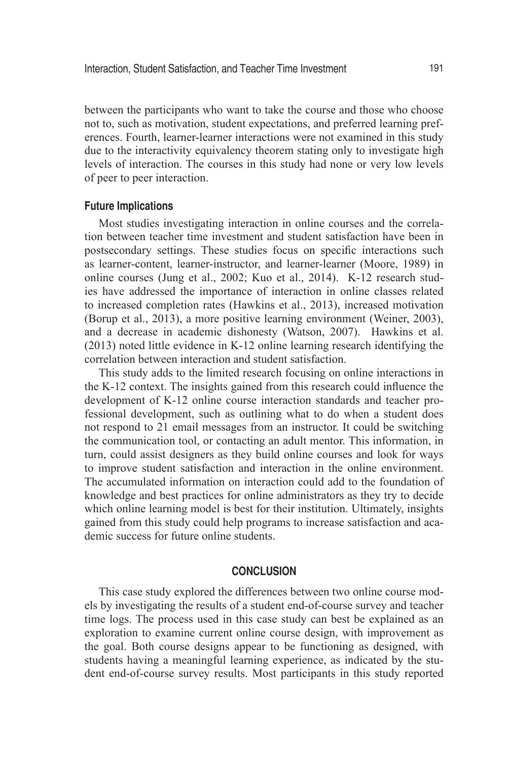between the participants who want to take the course and those who choose not to, such as motivation, student expectations, and preferred learning preferences. Fourth, learner-learner interactions were not examined in this study due to the interactivity equivalency theorem stating only to investigate high levels of interaction. The courses in this study had none or very low levels of peer to peer interaction.

# **Future Implications**

Most studies investigating interaction in online courses and the correlation between teacher time investment and student satisfaction have been in postsecondary settings. These studies focus on specific interactions such as learner-content, learner-instructor, and learner-learner (Moore, 1989) in online courses (Jung et al., 2002; Kuo et al., 2014). K-12 research studies have addressed the importance of interaction in online classes related to increased completion rates (Hawkins et al., 2013), increased motivation (Borup et al., 2013), a more positive learning environment (Weiner, 2003), and a decrease in academic dishonesty (Watson, 2007). Hawkins et al. (2013) noted little evidence in K-12 online learning research identifying the correlation between interaction and student satisfaction.

This study adds to the limited research focusing on online interactions in the K-12 context. The insights gained from this research could influence the development of K-12 online course interaction standards and teacher professional development, such as outlining what to do when a student does not respond to 21 email messages from an instructor. It could be switching the communication tool, or contacting an adult mentor. This information, in turn, could assist designers as they build online courses and look for ways to improve student satisfaction and interaction in the online environment. The accumulated information on interaction could add to the foundation of knowledge and best practices for online administrators as they try to decide which online learning model is best for their institution. Ultimately, insights gained from this study could help programs to increase satisfaction and academic success for future online students.

## **CONCLUSION**

This case study explored the differences between two online course models by investigating the results of a student end-of-course survey and teacher time logs. The process used in this case study can best be explained as an exploration to examine current online course design, with improvement as the goal. Both course designs appear to be functioning as designed, with students having a meaningful learning experience, as indicated by the student end-of-course survey results. Most participants in this study reported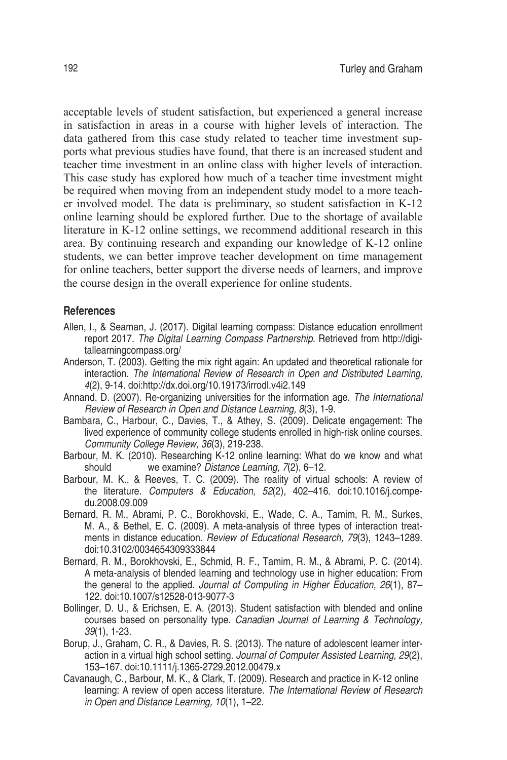acceptable levels of student satisfaction, but experienced a general increase in satisfaction in areas in a course with higher levels of interaction. The data gathered from this case study related to teacher time investment supports what previous studies have found, that there is an increased student and teacher time investment in an online class with higher levels of interaction. This case study has explored how much of a teacher time investment might be required when moving from an independent study model to a more teacher involved model. The data is preliminary, so student satisfaction in K-12 online learning should be explored further. Due to the shortage of available literature in K-12 online settings, we recommend additional research in this area. By continuing research and expanding our knowledge of K-12 online students, we can better improve teacher development on time management for online teachers, better support the diverse needs of learners, and improve the course design in the overall experience for online students.

#### **References**

- Allen, I., & Seaman, J. (2017). Digital learning compass: Distance education enrollment report 2017. *The Digital Learning Compass Partnership*. Retrieved from http://digitallearningcompass.org/
- Anderson, T. (2003). Getting the mix right again: An updated and theoretical rationale for interaction. *The International Review of Research in Open and Distributed Learning, 4*(2), 9-14. doi:http://dx.doi.org/10.19173/irrodl.v4i2.149
- Annand, D. (2007). Re-organizing universities for the information age. *The International Review of Research in Open and Distance Learning, 8*(3), 1-9.
- Bambara, C., Harbour, C., Davies, T., & Athey, S. (2009). Delicate engagement: The lived experience of community college students enrolled in high-risk online courses. *Community College Review, 36*(3), 219-238.
- Barbour, M. K. (2010). Researching K-12 online learning: What do we know and what should we examine? *Distance Learning, 7*(2), 6–12.
- Barbour, M. K., & Reeves, T. C. (2009). The reality of virtual schools: A review of the literature. *Computers & Education, 52*(2), 402–416. doi:10.1016/j.compedu.2008.09.009
- Bernard, R. M., Abrami, P. C., Borokhovski, E., Wade, C. A., Tamim, R. M., Surkes, M. A., & Bethel, E. C. (2009). A meta-analysis of three types of interaction treatments in distance education. *Review of Educational Research, 79*(3), 1243–1289. doi:10.3102/0034654309333844
- Bernard, R. M., Borokhovski, E., Schmid, R. F., Tamim, R. M., & Abrami, P. C. (2014). A meta-analysis of blended learning and technology use in higher education: From the general to the applied. *Journal of Computing in Higher Education, 26*(1), 87– 122. doi:10.1007/s12528-013-9077-3
- Bollinger, D. U., & Erichsen, E. A. (2013). Student satisfaction with blended and online courses based on personality type. *Canadian Journal of Learning & Technology, 39*(1), 1-23.
- Borup, J., Graham, C. R., & Davies, R. S. (2013). The nature of adolescent learner interaction in a virtual high school setting. *Journal of Computer Assisted Learning, 29*(2), 153–167. doi:10.1111/j.1365-2729.2012.00479.x
- Cavanaugh, C., Barbour, M. K., & Clark, T. (2009). Research and practice in K-12 online learning: A review of open access literature. *The International Review of Research in Open and Distance Learning, 10*(1), 1–22.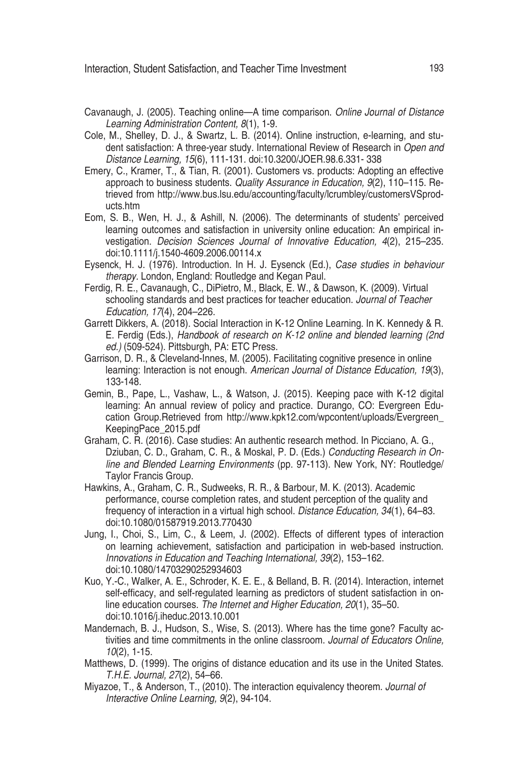- Cavanaugh, J. (2005). Teaching online—A time comparison. *Online Journal of Distance Learning Administration Content, 8*(1), 1-9.
- Cole, M., Shelley, D. J., & Swartz, L. B. (2014). Online instruction, e-learning, and student satisfaction: A three-year study. International Review of Research in *Open and Distance Learning, 15*(6), 111-131. doi:10.3200/JOER.98.6.331- 338
- Emery, C., Kramer, T., & Tian, R. (2001). Customers vs. products: Adopting an effective approach to business students. *Quality Assurance in Education, 9*(2), 110–115. Retrieved from http://www.bus.lsu.edu/accounting/faculty/lcrumbley/customersVSproducts.htm
- Eom, S. B., Wen, H. J., & Ashill, N. (2006). The determinants of students' perceived learning outcomes and satisfaction in university online education: An empirical investigation. *Decision Sciences Journal of Innovative Education, 4*(2), 215–235. doi:10.1111/j.1540-4609.2006.00114.x
- Eysenck, H. J. (1976). Introduction. In H. J. Eysenck (Ed.), *Case studies in behaviour therapy.* London, England: Routledge and Kegan Paul.
- Ferdig, R. E., Cavanaugh, C., DiPietro, M., Black, E. W., & Dawson, K. (2009). Virtual schooling standards and best practices for teacher education. *Journal of Teacher Education, 17*(4), 204–226.
- Garrett Dikkers, A. (2018). Social Interaction in K-12 Online Learning. In K. Kennedy & R. E. Ferdig (Eds.), *Handbook of research on K-12 online and blended learning (2nd ed.)* (509-524). Pittsburgh, PA: ETC Press.
- Garrison, D. R., & Cleveland-Innes, M. (2005). Facilitating cognitive presence in online learning: Interaction is not enough. *American Journal of Distance Education, 19*(3), 133-148.
- Gemin, B., Pape, L., Vashaw, L., & Watson, J. (2015). Keeping pace with K-12 digital learning: An annual review of policy and practice. Durango, CO: Evergreen Education Group.Retrieved from http://www.kpk12.com/wpcontent/uploads/Evergreen\_ KeepingPace\_2015.pdf
- Graham, C. R. (2016). Case studies: An authentic research method. In Picciano, A. G., Dziuban, C. D., Graham, C. R., & Moskal, P. D. (Eds.) *Conducting Research in Online and Blended Learning Environments* (pp. 97-113). New York, NY: Routledge/ Taylor Francis Group.
- Hawkins, A., Graham, C. R., Sudweeks, R. R., & Barbour, M. K. (2013). Academic performance, course completion rates, and student perception of the quality and frequency of interaction in a virtual high school. *Distance Education, 34*(1), 64–83. doi:10.1080/01587919.2013.770430
- Jung, I., Choi, S., Lim, C., & Leem, J. (2002). Effects of different types of interaction on learning achievement, satisfaction and participation in web-based instruction. *Innovations in Education and Teaching International, 39*(2), 153–162. doi:10.1080/14703290252934603
- Kuo, Y.-C., Walker, A. E., Schroder, K. E. E., & Belland, B. R. (2014). Interaction, internet self-efficacy, and self-regulated learning as predictors of student satisfaction in online education courses. *The Internet and Higher Education, 20*(1), 35–50. doi:10.1016/j.iheduc.2013.10.001
- Mandernach, B. J., Hudson, S., Wise, S. (2013). Where has the time gone? Faculty activities and time commitments in the online classroom. *Journal of Educators Online, 10*(2), 1-15.
- Matthews, D. (1999). The origins of distance education and its use in the United States. *T.H.E. Journal, 27*(2), 54–66.
- Miyazoe, T., & Anderson, T., (2010). The interaction equivalency theorem. *Journal of Interactive Online Learning, 9*(2), 94-104.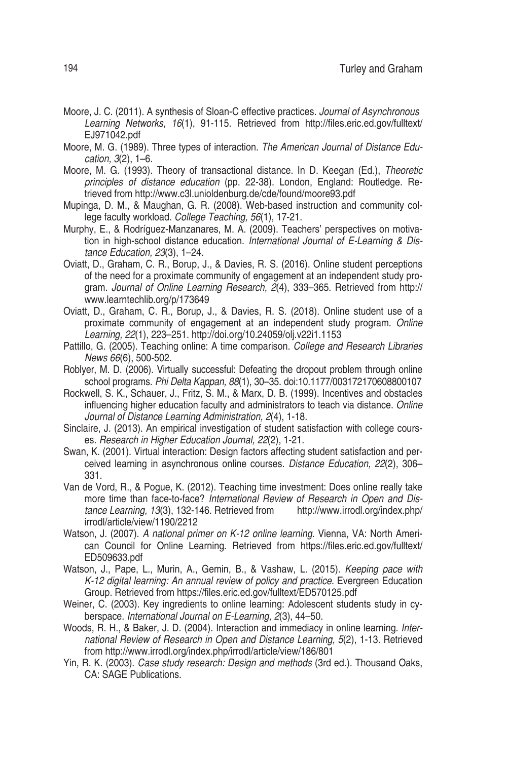- Moore, J. C. (2011). A synthesis of Sloan-C effective practices. *Journal of Asynchronous Learning Networks, 16*(1), 91-115. Retrieved from http://files.eric.ed.gov/fulltext/ EJ971042.pdf
- Moore, M. G. (1989). Three types of interaction. *The American Journal of Distance Education, 3*(2), 1–6.
- Moore, M. G. (1993). Theory of transactional distance. In D. Keegan (Ed.), *Theoretic principles of distance education* (pp. 22-38). London, England: Routledge. Retrieved from http://www.c3l.unioldenburg.de/cde/found/moore93.pdf
- Mupinga, D. M., & Maughan, G. R. (2008). Web-based instruction and community college faculty workload. *College Teaching, 56*(1), 17-21.
- Murphy, E., & Rodríguez-Manzanares, M. A. (2009). Teachers' perspectives on motivation in high-school distance education. *International Journal of E-Learning & Distance Education, 23*(3), 1–24.
- Oviatt, D., Graham, C. R., Borup, J., & Davies, R. S. (2016). Online student perceptions of the need for a proximate community of engagement at an independent study program. *Journal of Online Learning Research, 2*(4), 333–365. Retrieved from http:// www.learntechlib.org/p/173649
- Oviatt, D., Graham, C. R., Borup, J., & Davies, R. S. (2018). Online student use of a proximate community of engagement at an independent study program. *Online Learning, 22*(1), 223–251. http://doi.org/10.24059/olj.v22i1.1153
- Pattillo, G. (2005). Teaching online: A time comparison. *College and Research Libraries News 66*(6), 500-502.
- Roblyer, M. D. (2006). Virtually successful: Defeating the dropout problem through online school programs. *Phi Delta Kappan, 88*(1), 30–35. doi:10.1177/003172170608800107
- Rockwell, S. K., Schauer, J., Fritz, S. M., & Marx, D. B. (1999). Incentives and obstacles influencing higher education faculty and administrators to teach via distance. *Online Journal of Distance Learning Administration, 2*(4), 1-18.
- Sinclaire, J. (2013). An empirical investigation of student satisfaction with college courses. *Research in Higher Education Journal, 22*(2), 1-21.
- Swan, K. (2001). Virtual interaction: Design factors affecting student satisfaction and perceived learning in asynchronous online courses. *Distance Education, 22*(2), 306– 331.
- Van de Vord, R., & Pogue, K. (2012). Teaching time investment: Does online really take more time than face-to-face? *International Review of Research in Open and Distance Learning, 13*(3), 132-146. Retrieved from http://www.irrodl.org/index.php/ irrodl/article/view/1190/2212
- Watson, J. (2007). *A national primer on K-12 online learning.* Vienna, VA: North American Council for Online Learning. Retrieved from https://files.eric.ed.gov/fulltext/ ED509633.pdf
- Watson, J., Pape, L., Murin, A., Gemin, B., & Vashaw, L. (2015). *Keeping pace with K-12 digital learning: An annual review of policy and practice*. Evergreen Education Group. Retrieved from https://files.eric.ed.gov/fulltext/ED570125.pdf
- Weiner, C. (2003). Key ingredients to online learning: Adolescent students study in cyberspace. *International Journal on E-Learning, 2*(3), 44–50.
- Woods, R. H., & Baker, J. D. (2004). Interaction and immediacy in online learning. *International Review of Research in Open and Distance Learning, 5*(2), 1-13. Retrieved from http://www.irrodl.org/index.php/irrodl/article/view/186/801
- Yin, R. K. (2003). *Case study research: Design and methods* (3rd ed.). Thousand Oaks, CA: SAGE Publications.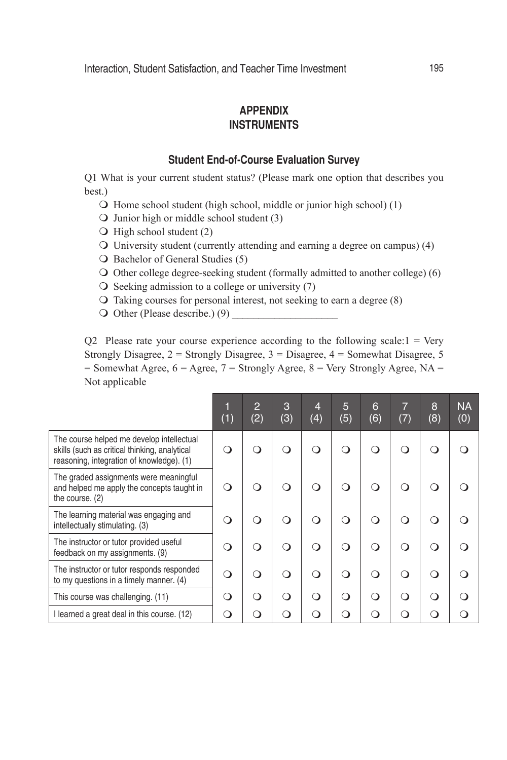# **APPENDIX INSTRUMENTS**

# **Student End-of-Course Evaluation Survey**

Q1 What is your current student status? (Please mark one option that describes you best.)

- $\Omega$  Home school student (high school, middle or junior high school) (1)
- $\overline{Q}$  Junior high or middle school student (3)
- $\bigcirc$  High school student (2)
- $\overline{O}$  University student (currently attending and earning a degree on campus) (4)
- $\bigcirc$  Bachelor of General Studies (5)
- $\bigcirc$  Other college degree-seeking student (formally admitted to another college) (6)
- $\overline{O}$  Seeking admission to a college or university (7)
- $\Omega$  Taking courses for personal interest, not seeking to earn a degree (8)
- $\bigcirc$  Other (Please describe.) (9)

 $Q2$  Please rate your course experience according to the following scale:  $1 = \text{Verv}$ Strongly Disagree,  $2 =$  Strongly Disagree,  $3 =$  Disagree,  $4 =$  Somewhat Disagree,  $5 =$  $=$  Somewhat Agree, 6 = Agree, 7 = Strongly Agree, 8 = Very Strongly Agree, NA = Not applicable

|                                                                                                                                         | (1) | $\overline{2}$<br>(2) | 3<br>(3) | $\overline{4}$<br>(4) | 5<br>(5) | 6<br>(6) | $\overline{7}$<br>(7) | 8<br>(8) | <b>NA</b><br>(0) |
|-----------------------------------------------------------------------------------------------------------------------------------------|-----|-----------------------|----------|-----------------------|----------|----------|-----------------------|----------|------------------|
| The course helped me develop intellectual<br>skills (such as critical thinking, analytical<br>reasoning, integration of knowledge). (1) |     |                       | ∩        |                       | ∩        |          | ∩                     | ∩        |                  |
| The graded assignments were meaningful<br>and helped me apply the concepts taught in<br>the course. (2)                                 | ו   |                       | 0        |                       | ∩        |          | ∩                     |          |                  |
| The learning material was engaging and<br>intellectually stimulating. (3)                                                               | . . |                       | ∩        | ∩                     | ∩        |          | ∩                     | ີ 1      |                  |
| The instructor or tutor provided useful<br>feedback on my assignments. (9)                                                              | ິ   |                       | ∩        | ∩                     | ⌒        |          | ∩                     | Ω        |                  |
| The instructor or tutor responds responded<br>to my questions in a timely manner. (4)                                                   | ∩   | ∩                     | ∩        | ∩                     | ∩        |          | ∩                     | ∩        |                  |
| This course was challenging. (11)                                                                                                       | 0   | ( )                   | ∩        | ∩                     | ∩        | ∩        | ∩                     | ∩ )      |                  |
| I learned a great deal in this course. (12)                                                                                             |     |                       | Ω        |                       |          |          | ∩                     |          |                  |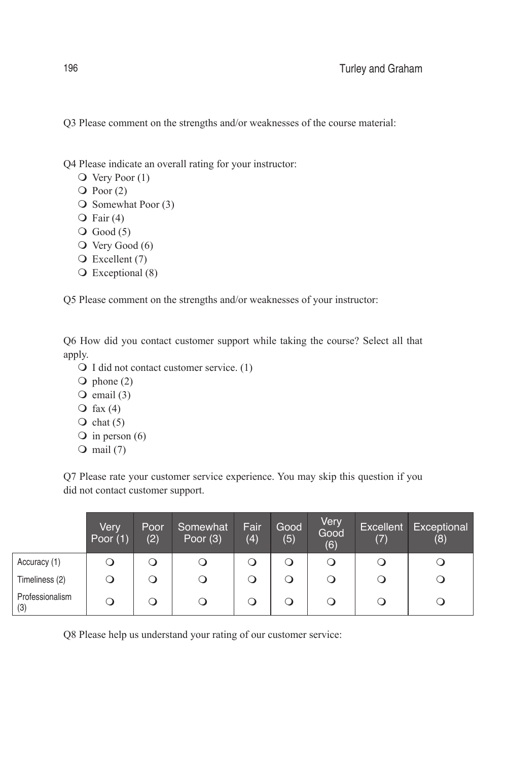Q3 Please comment on the strengths and/or weaknesses of the course material:

Q4 Please indicate an overall rating for your instructor:

- $\bigcirc$  Very Poor (1)
- $\overline{Q}$  Poor (2)
- $\bigcirc$  Somewhat Poor (3)
- $\overline{Q}$  Fair (4)
- $\bigcirc$  Good (5)
- $\overline{O}$  Very Good (6)
- $\overline{O}$  Excellent (7)
- $\bigcirc$  Exceptional (8)

Q5 Please comment on the strengths and/or weaknesses of your instructor:

Q6 How did you contact customer support while taking the course? Select all that apply.

- $\bigcirc$  I did not contact customer service. (1)
- $\overline{Q}$  phone (2)
- $\overline{O}$  email (3)
- $\bigcirc$  fax (4)
- $\overline{Q}$  chat (5)
- $\overline{O}$  in person (6)
- $\bigcirc$  mail (7)

Q7 Please rate your customer service experience. You may skip this question if you did not contact customer support.

|                        | Very<br>Poor $(1)$ | <b>Poor</b><br>(2) | Somewhat<br>Poor $(3)$ | Fair<br>(4) | Good<br>(5) | Very<br>Good<br>(6) | Excellent<br>(7) | Exceptional<br>(8) |
|------------------------|--------------------|--------------------|------------------------|-------------|-------------|---------------------|------------------|--------------------|
| Accuracy (1)           |                    | a                  | O                      |             |             | O                   | O                |                    |
| Timeliness (2)         |                    | Q                  | $\circ$                |             | Ő           | Q                   | $\cup$           |                    |
| Professionalism<br>(3) | O                  | Q                  | O                      |             | Q           |                     |                  |                    |

Q8 Please help us understand your rating of our customer service: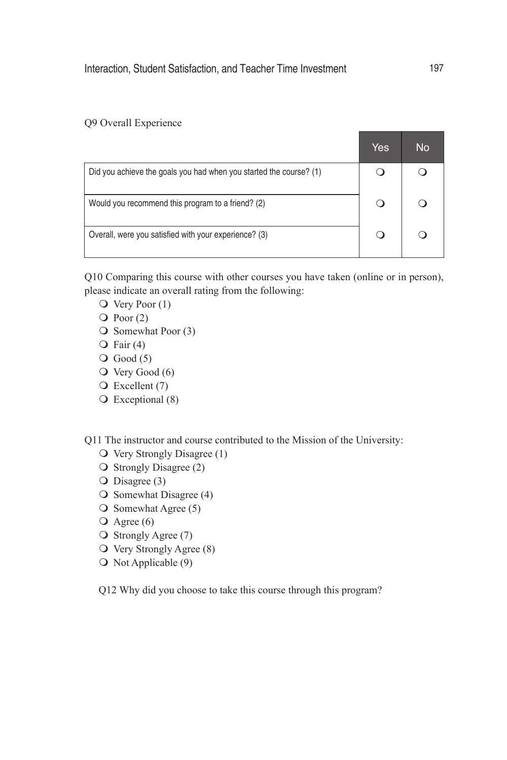## Q9 Overall Experience

|                                                                    | Yes | No |
|--------------------------------------------------------------------|-----|----|
| Did you achieve the goals you had when you started the course? (1) |     |    |
| Would you recommend this program to a friend? (2)                  |     |    |
| Overall, were you satisfied with your experience? (3)              |     |    |

Q10 Comparing this course with other courses you have taken (online or in person), please indicate an overall rating from the following:

- $\overline{O}$  Very Poor (1)
- $\overline{Q}$  Poor (2)
- $\bigcirc$  Somewhat Poor (3)
- $\overline{Q}$  Fair (4)
- $\bigcirc$  Good (5)
- $\overline{O}$  Very Good (6)
- $\bigcirc$  Excellent (7)
- $\bigcirc$  Exceptional (8)

Q11 The instructor and course contributed to the Mission of the University:

- $\overline{O}$  Very Strongly Disagree (1)
- $\overline{\mathsf{O}}$  Strongly Disagree (2)
- $\overline{O}$  Disagree (3)
- $\overline{O}$  Somewhat Disagree (4)
- $\overline{O}$  Somewhat Agree (5)
- $\overline{O}$  Agree (6)
- $\bigcirc$  Strongly Agree (7)
- $\overline{O}$  Very Strongly Agree (8)
- $\bigcirc$  Not Applicable (9)

Q12 Why did you choose to take this course through this program?